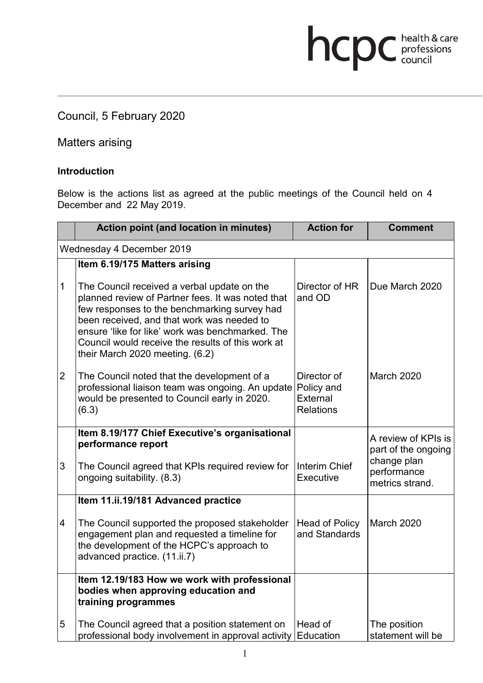Council, 5 February 2020

Matters arising

#### **Introduction**

Below is the actions list as agreed at the public meetings of the Council held on 4 December and 22 May 2019.

hcpc health & care

|                           | Action point (and location in minutes)                                                                                                                                                                                                                                                                                                     | <b>Action for</b>                           | <b>Comment</b>                                                       |  |
|---------------------------|--------------------------------------------------------------------------------------------------------------------------------------------------------------------------------------------------------------------------------------------------------------------------------------------------------------------------------------------|---------------------------------------------|----------------------------------------------------------------------|--|
| Wednesday 4 December 2019 |                                                                                                                                                                                                                                                                                                                                            |                                             |                                                                      |  |
|                           | Item 6.19/175 Matters arising                                                                                                                                                                                                                                                                                                              |                                             |                                                                      |  |
| $\mathbf 1$               | The Council received a verbal update on the<br>planned review of Partner fees. It was noted that<br>few responses to the benchmarking survey had<br>been received, and that work was needed to<br>ensure 'like for like' work was benchmarked. The<br>Council would receive the results of this work at<br>their March 2020 meeting. (6.2) | Director of HR<br>and OD                    | Due March 2020                                                       |  |
| $\overline{2}$            | The Council noted that the development of a<br>professional liaison team was ongoing. An update Policy and<br>would be presented to Council early in 2020.<br>(6.3)                                                                                                                                                                        | Director of<br>External<br><b>Relations</b> | <b>March 2020</b>                                                    |  |
|                           | Item 8.19/177 Chief Executive's organisational                                                                                                                                                                                                                                                                                             |                                             | A review of KPIs is                                                  |  |
| 3                         | performance report<br>The Council agreed that KPIs required review for<br>ongoing suitability. (8.3)                                                                                                                                                                                                                                       | <b>Interim Chief</b><br>Executive           | part of the ongoing<br>change plan<br>performance<br>metrics strand. |  |
|                           | Item 11.ii.19/181 Advanced practice                                                                                                                                                                                                                                                                                                        |                                             |                                                                      |  |
| 4                         | The Council supported the proposed stakeholder<br>engagement plan and requested a timeline for<br>the development of the HCPC's approach to<br>advanced practice. (11.ii.7)                                                                                                                                                                | <b>Head of Policy</b><br>and Standards      | March 2020                                                           |  |
|                           | Item 12.19/183 How we work with professional<br>bodies when approving education and<br>training programmes                                                                                                                                                                                                                                 |                                             |                                                                      |  |
| 5                         | The Council agreed that a position statement on<br>professional body involvement in approval activity                                                                                                                                                                                                                                      | Head of<br>Education                        | The position<br>statement will be                                    |  |